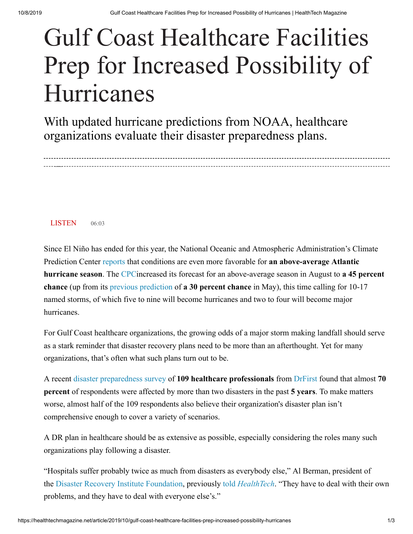## Gulf Coast Healthcare Facilities Prep for Increased Possibility of Hurricanes

With updated hurricane predictions from NOAA, healthcare organizations evaluate their disaster preparedness plans.

**LISTEN** 06:03

by [Tim Kridel](https://healthtechmagazine.net/taxonomy/term/12366)

Since El Niño has ended for this year, the National Oceanic and Atmospheric Administration's Climate Prediction Center [reports](https://www.noaa.gov/media-release/noaa-increases-chance-for-above-normal-hurricane-season) that conditions are even more favorable for **an above-average Atlantic hurricane season**. The [CPC](https://www.cpc.ncep.noaa.gov/)increased its forecast for an above-average season in August to **a 45 percent chance** (up from its [previous prediction](https://www.noaa.gov/media-release/noaa-predicts-near-normal-2019-atlantic-hurricane-season) of **a 30 percent chance** in May), this time calling for 10-17 named storms, of which five to nine will become hurricanes and two to four will become major hurricanes.

For Gulf Coast healthcare organizations, the growing odds of a major storm making landfall should serve as a stark reminder that disaster recovery plans need to be more than an afterthought. Yet for many organizations, that's often what such plans turn out to be.

A recent [disaster preparedness survey](https://www.prnewswire.com/news-releases/hurricane-warning-survey-reveals-healthcare-organizations-doubt-their-disaster-plans-are-up-to-the-task-300710898.html) of **109 healthcare professionals** from [DrFirst](https://www.drfirst.com/) found that almost **70 percent** of respondents were affected by more than two disasters in the past **5 years**. To make matters worse, almost half of the 109 respondents also believe their organization's disaster plan isn't comprehensive enough to cover a variety of scenarios.

A DR plan in healthcare should be as extensive as possible, especially considering the roles many such organizations play following a disaster.

"Hospitals suffer probably twice as much from disasters as everybody else," Al Berman, president of the [Disaster Recovery Institute Foundation,](https://foundation.drii.org/) previously told *[HealthTech](https://healthtechmagazine.net/article/2018/05/after-disaster-strikes-technology-planning-critical-helping-hospitals-rebuild)*. "They have to deal with their own problems, and they have to deal with everyone else's."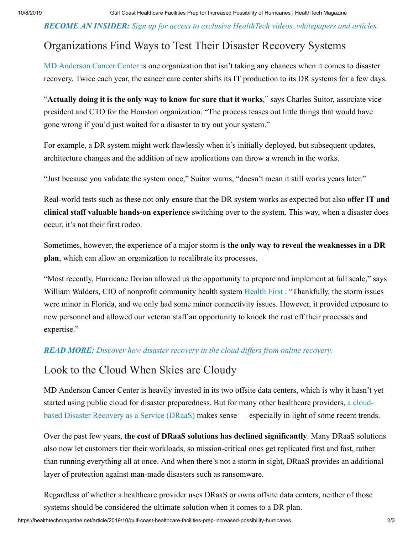*BECOME AN INSIDER: [Sign up for access to exclusive HealthTech videos, whitepapers and articles.](https://healthtechmagazine.net/about-insider)*

## Organizations Find Ways to Test Their Disaster Recovery Systems

[MD Anderson Cancer Center](https://www.mdanderson.org/) is one organization that isn't taking any chances when it comes to disaster recovery. Twice each year, the cancer care center shifts its IT production to its DR systems for a few days.

"**Actually doing it is the only way to know for sure that it works**," says Charles Suitor, associate vice president and CTO for the Houston organization. "The process teases out little things that would have gone wrong if you'd just waited for a disaster to try out your system."

For example, a DR system might work flawlessly when it's initially deployed, but subsequent updates, architecture changes and the addition of new applications can throw a wrench in the works.

"Just because you validate the system once," Suitor warns, "doesn't mean it still works years later."

Real-world tests such as these not only ensure that the DR system works as expected but also **offer IT and clinical staff valuable hands-on experience** switching over to the system. This way, when a disaster does occur, it's not their first rodeo.

Sometimes, however, the experience of a major storm is **the only way to reveal the weaknesses in a DR plan**, which can allow an organization to recalibrate its processes.

"Most recently, Hurricane Dorian allowed us the opportunity to prepare and implement at full scale," says William Walders, CIO of nonprofit community health system [Health First](https://hf.org/). "Thankfully, the storm issues were minor in Florida, and we only had some minor connectivity issues. However, it provided exposure to new personnel and allowed our veteran staff an opportunity to knock the rust off their processes and expertise."

## *READ MORE: [Discover how disaster recovery in the cloud differs from online recovery.](https://healthtechmagazine.net/article/2019/07/how-disaster-recovery-cloud-differs-online-recovery)*

## Look to the Cloud When Skies are Cloudy

MD Anderson Cancer Center is heavily invested in its two offsite data centers, which is why it hasn't yet [started using public cloud for disaster preparedness. But for many other healthcare providers,](https://blog.cdw.com/services/why-its-time-to-consider-disaster-recovery-as-a-service) a cloudbased Disaster Recovery as a Service (DRaaS) makes sense — especially in light of some recent trends.

Over the past few years, **the cost of DRaaS solutions has declined significantly**. Many DRaaS solutions also now let customers tier their workloads, so mission-critical ones get replicated first and fast, rather than running everything all at once. And when there's not a storm in sight, DRaaS provides an additional layer of protection against man-made disasters such as ransomware.

Regardless of whether a healthcare provider uses DRaaS or owns offsite data centers, neither of those systems should be considered the ultimate solution when it comes to a DR plan.